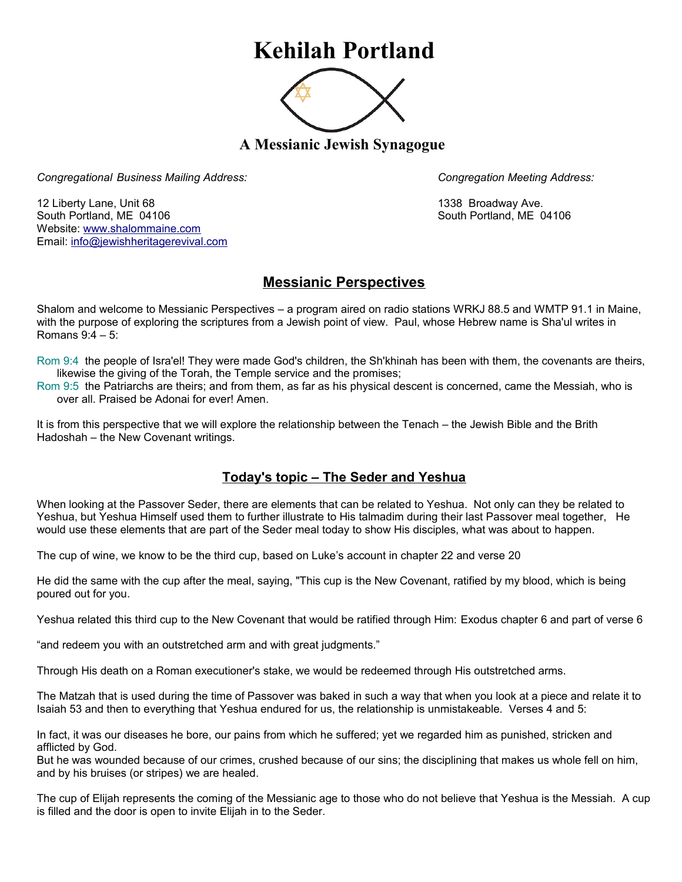## **Kehilah Portland**



**A Messianic Jewish Synagogue** 

*Congregational Business Mailing Address: Congregation Meeting Address:*

12 Liberty Lane, Unit 68 1338 Broadway Ave. South Portland, ME 04106 South Portland, ME 04106 Website: [www.shalommaine.com](http://www.shalommaine.com/) Email: [info@jewishheritagerevival.com](mailto:info@jewishheritagerevival.com) 

## **Messianic Perspectives**

Shalom and welcome to Messianic Perspectives – a program aired on radio stations WRKJ 88.5 and WMTP 91.1 in Maine, with the purpose of exploring the scriptures from a Jewish point of view. Paul, whose Hebrew name is Sha'ul writes in Romans 9:4 – 5:

Rom 9:4 the people of Isra'el! They were made God's children, the Sh'khinah has been with them, the covenants are theirs, likewise the giving of the Torah, the Temple service and the promises;

Rom 9:5 the Patriarchs are theirs; and from them, as far as his physical descent is concerned, came the Messiah, who is over all. Praised be Adonai for ever! Amen.

It is from this perspective that we will explore the relationship between the Tenach – the Jewish Bible and the Brith Hadoshah – the New Covenant writings.

## **Today's topic – The Seder and Yeshua**

When looking at the Passover Seder, there are elements that can be related to Yeshua. Not only can they be related to Yeshua, but Yeshua Himself used them to further illustrate to His talmadim during their last Passover meal together, He would use these elements that are part of the Seder meal today to show His disciples, what was about to happen.

The cup of wine, we know to be the third cup, based on Luke's account in chapter 22 and verse 20

He did the same with the cup after the meal, saying, "This cup is the New Covenant, ratified by my blood, which is being poured out for you.

Yeshua related this third cup to the New Covenant that would be ratified through Him: Exodus chapter 6 and part of verse 6

"and redeem you with an outstretched arm and with great judgments."

Through His death on a Roman executioner's stake, we would be redeemed through His outstretched arms.

The Matzah that is used during the time of Passover was baked in such a way that when you look at a piece and relate it to Isaiah 53 and then to everything that Yeshua endured for us, the relationship is unmistakeable. Verses 4 and 5:

In fact, it was our diseases he bore, our pains from which he suffered; yet we regarded him as punished, stricken and afflicted by God.

But he was wounded because of our crimes, crushed because of our sins; the disciplining that makes us whole fell on him, and by his bruises (or stripes) we are healed.

The cup of Elijah represents the coming of the Messianic age to those who do not believe that Yeshua is the Messiah. A cup is filled and the door is open to invite Elijah in to the Seder.